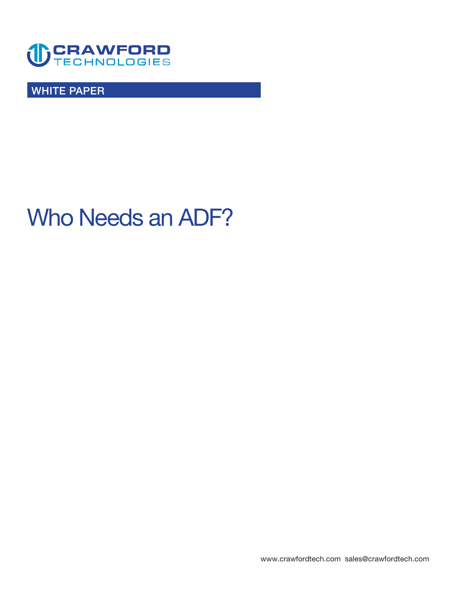

**WHITE PAPER** 

# **Who Needs an ADF?**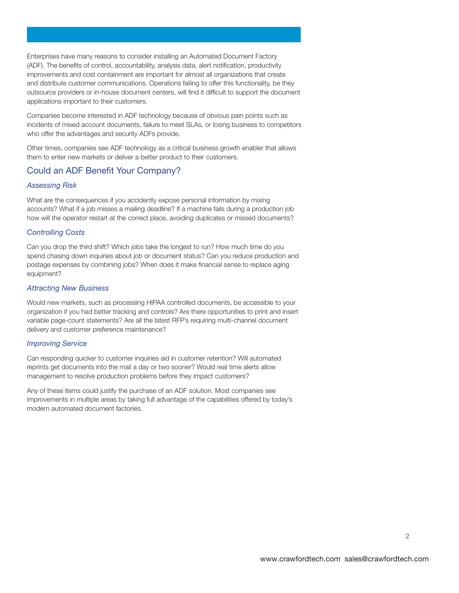**Enterprises have many reasons to consider installing an Automated Document Factory (ADF). The benefts of control, accountability, analysis data, alert notifcation, productivity improvements and cost containment are important for almost all organizations that create and distribute customer communications. Operations failing to offer this functionality, be they outsource providers or in-house document centers, will fnd it diffcult to support the document applications important to their customers.** 

**Companies become interested in ADF technology because of obvious pain points such as incidents of mixed account documents, failure to meet SLAs, or losing business to competitors who offer the advantages and security ADFs provide.** 

**Other times, companies see ADF technology as a critical business growth enabler that allows them to enter new markets or deliver a better product to their customers.** 

# **Could an ADF Beneft Your Company?**

# *Assessing Risk*

**What are the consequences if you accidently expose personal information by mixing accounts? What if a job misses a mailing deadline? If a machine fails during a production job how will the operator restart at the correct place, avoiding duplicates or missed documents?** 

# *Controlling Costs*

**Can you drop the third shift? Which jobs take the longest to run? How much time do you spend chasing down inquiries about job or document status? Can you reduce production and postage expenses by combining jobs? When does it make fnancial sense to replace aging equipment?** 

## *Attracting New Business*

**Would new markets, such as processing HIPAA controlled documents, be accessible to your organization if you had better tracking and controls? Are there opportunities to print and insert variable page-count statements? Are all the latest RFP's requiring multi-channel document delivery and customer preference maintenance?** 

# *Improving Service*

**Can responding quicker to customer inquiries aid in customer retention? Will automated reprints get documents into the mail a day or two sooner? Would real time alerts allow management to resolve production problems before they impact customers?** 

**Any of these items could justify the purchase of an ADF solution. Most companies see improvements in multiple areas by taking full advantage of the capabilities offered by today's modern automated document factories.**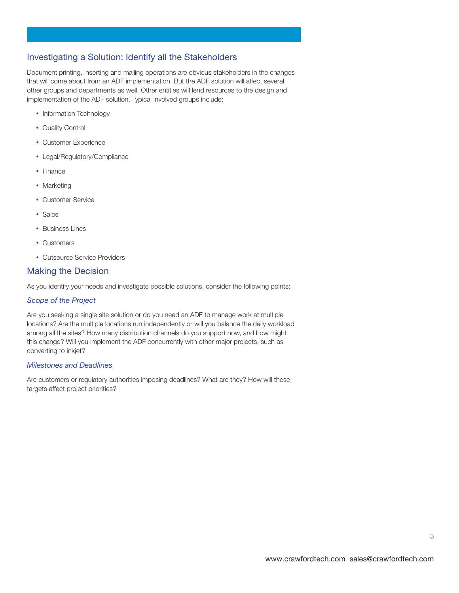# **Investigating a Solution: Identify all the Stakeholders**

**Document printing, inserting and mailing operations are obvious stakeholders in the changes that will come about from an ADF implementation. But the ADF solution will affect several other groups and departments as well. Other entities will lend resources to the design and implementation of the ADF solution. Typical involved groups include:** 

- **• Information Technology**
- **• Quality Control**
- **• Customer Experience**
- **• Legal/Regulatory/Compliance**
- **• Finance**
- **• Marketing**
- **• Customer Service**
- **• Sales**
- **• Business Lines**
- **• Customers**
- **• Outsource Service Providers**

# **Making the Decision**

**As you identify your needs and investigate possible solutions, consider the following points:** 

# *Scope of the Project*

**Are you seeking a single site solution or do you need an ADF to manage work at multiple locations? Are the multiple locations run independently or will you balance the daily workload among all the sites? How many distribution channels do you support now, and how might this change? Will you implement the ADF concurrently with other major projects, such as converting to inkjet?** 

# *Milestones and Deadlines*

**Are customers or regulatory authorities imposing deadlines? What are they? How will these targets affect project priorities?**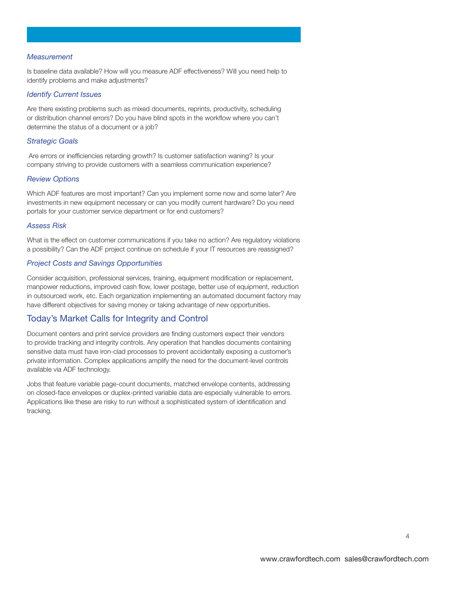#### *Measurement*

**Is baseline data available? How will you measure ADF effectiveness? Will you need help to identify problems and make adjustments?** 

#### *Identify Current Issues*

**Are there existing problems such as mixed documents, reprints, productivity, scheduling or distribution channel errors? Do you have blind spots in the workfow where you can't determine the status of a document or a job?** 

#### *Strategic Goals*

**Are errors or ineffciencies retarding growth? Is customer satisfaction waning? Is your company striving to provide customers with a seamless communication experience?** 

#### *Review Options*

**Which ADF features are most important? Can you implement some now and some later? Are investments in new equipment necessary or can you modify current hardware? Do you need portals for your customer service department or for end customers?** 

#### *Assess Risk*

**What is the effect on customer communications if you take no action? Are regulatory violations a possibility? Can the ADF project continue on schedule if your IT resources are reassigned?** 

# *Project Costs and Savings Opportunities*

**Consider acquisition, professional services, training, equipment modifcation or replacement, manpower reductions, improved cash fow, lower postage, better use of equipment, reduction in outsourced work, etc. Each organization implementing an automated document factory may have different objectives for saving money or taking advantage of new opportunities.** 

# **Today's Market Calls for Integrity and Control**

**Document centers and print service providers are fnding customers expect their vendors to provide tracking and integrity controls. Any operation that handles documents containing sensitive data must have iron-clad processes to prevent accidentally exposing a customer's private information. Complex applications amplify the need for the document-level controls available via ADF technology.** 

**Jobs that feature variable page-count documents, matched envelope contents, addressing on closed-face envelopes or duplex-printed variable data are especially vulnerable to errors. Applications like these are risky to run without a sophisticated system of identifcation and tracking.** 

**4**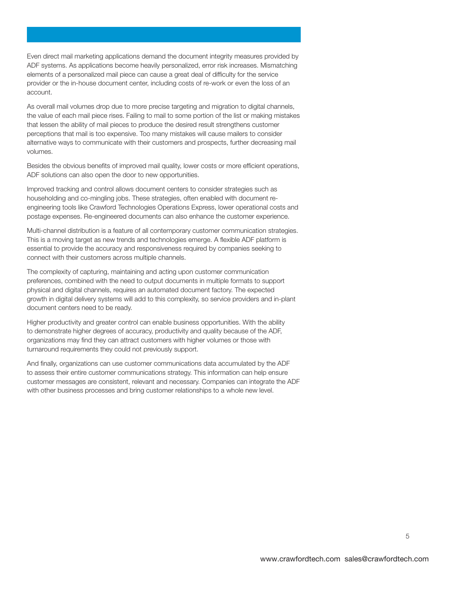**Even direct mail marketing applications demand the document integrity measures provided by ADF systems. As applications become heavily personalized, error risk increases. Mismatching elements of a personalized mail piece can cause a great deal of diffculty for the service provider or the in-house document center, including costs of re-work or even the loss of an account.** 

**As overall mail volumes drop due to more precise targeting and migration to digital channels, the value of each mail piece rises. Failing to mail to some portion of the list or making mistakes that lessen the ability of mail pieces to produce the desired result strengthens customer perceptions that mail is too expensive. Too many mistakes will cause mailers to consider alternative ways to communicate with their customers and prospects, further decreasing mail volumes.** 

**Besides the obvious benefts of improved mail quality, lower costs or more effcient operations, ADF solutions can also open the door to new opportunities.** 

**Improved tracking and control allows document centers to consider strategies such as householding and co-mingling jobs. These strategies, often enabled with document reengineering tools like Crawford Technologies Operations Express, lower operational costs and postage expenses. Re-engineered documents can also enhance the customer experience.** 

**Multi-channel distribution is a feature of all contemporary customer communication strategies. This is a moving target as new trends and technologies emerge. A fexible ADF platform is essential to provide the accuracy and responsiveness required by companies seeking to connect with their customers across multiple channels.** 

**The complexity of capturing, maintaining and acting upon customer communication preferences, combined with the need to output documents in multiple formats to support physical and digital channels, requires an automated document factory. The expected growth in digital delivery systems will add to this complexity, so service providers and in-plant document centers need to be ready.** 

**Higher productivity and greater control can enable business opportunities. With the ability to demonstrate higher degrees of accuracy, productivity and quality because of the ADF, organizations may fnd they can attract customers with higher volumes or those with turnaround requirements they could not previously support.** 

**And fnally, organizations can use customer communications data accumulated by the ADF to assess their entire customer communications strategy. This information can help ensure customer messages are consistent, relevant and necessary. Companies can integrate the ADF with other business processes and bring customer relationships to a whole new level.**